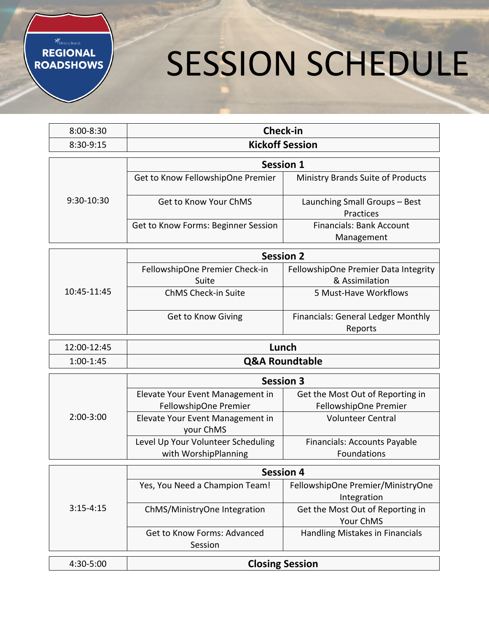#### Ministry Brands **REGIONAL ROADSHOWS**

# SESSION SCHEDULE

| $8:00 - 8:30$ | Check-in                            |                                          |  |
|---------------|-------------------------------------|------------------------------------------|--|
| 8:30-9:15     | <b>Kickoff Session</b>              |                                          |  |
|               | <b>Session 1</b>                    |                                          |  |
|               |                                     |                                          |  |
|               | Get to Know FellowshipOne Premier   | <b>Ministry Brands Suite of Products</b> |  |
| $9:30-10:30$  | Get to Know Your ChMS               | Launching Small Groups - Best            |  |
|               |                                     | <b>Practices</b>                         |  |
|               | Get to Know Forms: Beginner Session | <b>Financials: Bank Account</b>          |  |
|               |                                     | Management                               |  |

|             | <b>Session 2</b>               |                                           |
|-------------|--------------------------------|-------------------------------------------|
| 10:45-11:45 | FellowshipOne Premier Check-in | FellowshipOne Premier Data Integrity      |
|             | Suite                          | & Assimilation                            |
|             | ChMS Check-in Suite            | 5 Must-Have Workflows                     |
|             | <b>Get to Know Giving</b>      | <b>Financials: General Ledger Monthly</b> |
|             |                                | Reports                                   |

| 12:00-12:45 | Lunch                     |  |
|-------------|---------------------------|--|
| $1:00-1:45$ | <b>Q&amp;A Roundtable</b> |  |

|             | <b>Session 3</b>                   |                                  |
|-------------|------------------------------------|----------------------------------|
| $2:00-3:00$ | Elevate Your Event Management in   | Get the Most Out of Reporting in |
|             | FellowshipOne Premier              | FellowshipOne Premier            |
|             | Elevate Your Event Management in   | <b>Volunteer Central</b>         |
|             | your ChMS                          |                                  |
|             | Level Up Your Volunteer Scheduling | Financials: Accounts Payable     |
|             | with WorshipPlanning               | Foundations                      |

|               | <b>Session 4</b>               |                                   |  |
|---------------|--------------------------------|-----------------------------------|--|
|               | Yes, You Need a Champion Team! | FellowshipOne Premier/MinistryOne |  |
| $3:15 - 4:15$ |                                | Integration                       |  |
|               | ChMS/MinistryOne Integration   | Get the Most Out of Reporting in  |  |
|               |                                | Your ChMS                         |  |
|               | Get to Know Forms: Advanced    | Handling Mistakes in Financials   |  |
|               | Session                        |                                   |  |
|               |                                |                                   |  |
| 4:30-5:00     | <b>Closing Session</b>         |                                   |  |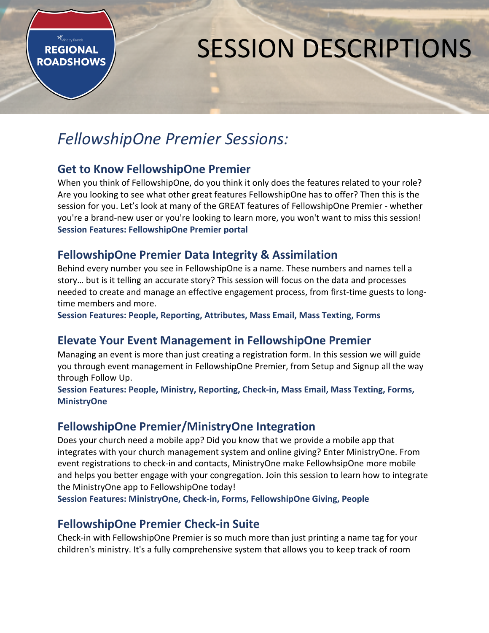## SESSION DESCRIPTIONS

## *FellowshipOne Premier Sessions:*

#### **Get to Know FellowshipOne Premier**

**Winistry Brands REGIONAL ROADSHOWS** 

> When you think of FellowshipOne, do you think it only does the features related to your role? Are you looking to see what other great features FellowshipOne has to offer? Then this is the session for you. Let's look at many of the GREAT features of FellowshipOne Premier - whether you're a brand-new user or you're looking to learn more, you won't want to miss this session! **Session Features: FellowshipOne Premier portal**

#### **FellowshipOne Premier Data Integrity & Assimilation**

Behind every number you see in FellowshipOne is a name. These numbers and names tell a story… but is it telling an accurate story? This session will focus on the data and processes needed to create and manage an effective engagement process, from first-time guests to longtime members and more.

**Session Features: People, Reporting, Attributes, Mass Email, Mass Texting, Forms**

#### **Elevate Your Event Management in FellowshipOne Premier**

Managing an event is more than just creating a registration form. In this session we will guide you through event management in FellowshipOne Premier, from Setup and Signup all the way through Follow Up.

**Session Features: People, Ministry, Reporting, Check-in, Mass Email, Mass Texting, Forms, MinistryOne**

#### **FellowshipOne Premier/MinistryOne Integration**

Does your church need a mobile app? Did you know that we provide a mobile app that integrates with your church management system and online giving? Enter MinistryOne. From event registrations to check-in and contacts, MinistryOne make FellowhsipOne more mobile and helps you better engage with your congregation. Join this session to learn how to integrate the MinistryOne app to FellowshipOne today!

**Session Features: MinistryOne, Check-in, Forms, FellowshipOne Giving, People**

#### **FellowshipOne Premier Check-in Suite**

Check-in with FellowshipOne Premier is so much more than just printing a name tag for your children's ministry. It's a fully comprehensive system that allows you to keep track of room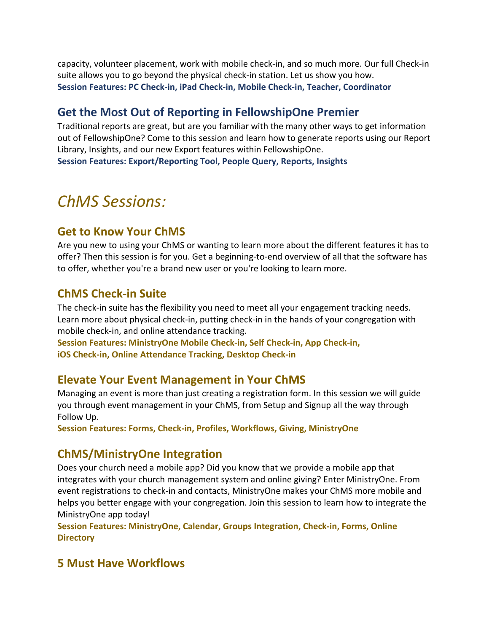capacity, volunteer placement, work with mobile check-in, and so much more. Our full Check-in suite allows you to go beyond the physical check-in station. Let us show you how. **Session Features: PC Check-in, iPad Check-in, Mobile Check-in, Teacher, Coordinator**

#### **Get the Most Out of Reporting in FellowshipOne Premier**

Traditional reports are great, but are you familiar with the many other ways to get information out of FellowshipOne? Come to this session and learn how to generate reports using our Report Library, Insights, and our new Export features within FellowshipOne. **Session Features: Export/Reporting Tool, People Query, Reports, Insights**

## *ChMS Sessions:*

#### **Get to Know Your ChMS**

Are you new to using your ChMS or wanting to learn more about the different features it has to offer? Then this session is for you. Get a beginning-to-end overview of all that the software has to offer, whether you're a brand new user or you're looking to learn more.

#### **ChMS Check-in Suite**

The check-in suite has the flexibility you need to meet all your engagement tracking needs. Learn more about physical check-in, putting check-in in the hands of your congregation with mobile check-in, and online attendance tracking.

**Session Features: MinistryOne Mobile Check-in, Self Check-in, App Check-in, iOS Check-in, Online Attendance Tracking, Desktop Check-in**

#### **Elevate Your Event Management in Your ChMS**

Managing an event is more than just creating a registration form. In this session we will guide you through event management in your ChMS, from Setup and Signup all the way through Follow Up.

**Session Features: Forms, Check-in, Profiles, Workflows, Giving, MinistryOne**

#### **ChMS/MinistryOne Integration**

Does your church need a mobile app? Did you know that we provide a mobile app that integrates with your church management system and online giving? Enter MinistryOne. From event registrations to check-in and contacts, MinistryOne makes your ChMS more mobile and helps you better engage with your congregation. Join this session to learn how to integrate the MinistryOne app today!

**Session Features: MinistryOne, Calendar, Groups Integration, Check-in, Forms, Online Directory**

#### **5 Must Have Workflows**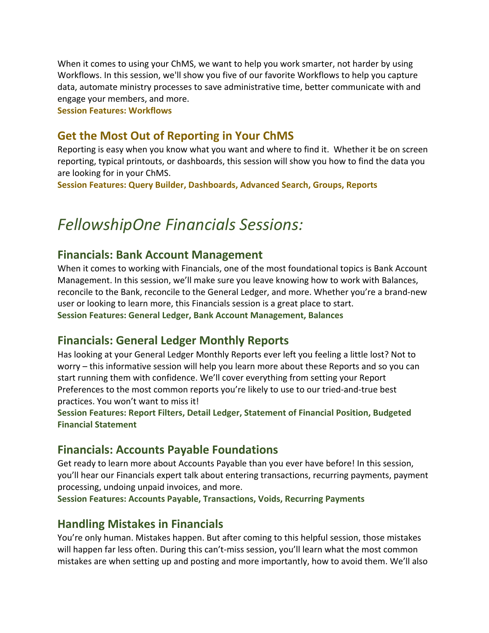When it comes to using your ChMS, we want to help you work smarter, not harder by using Workflows. In this session, we'll show you five of our favorite Workflows to help you capture data, automate ministry processes to save administrative time, better communicate with and engage your members, and more.

**Session Features: Workflows**

#### **Get the Most Out of Reporting in Your ChMS**

Reporting is easy when you know what you want and where to find it. Whether it be on screen reporting, typical printouts, or dashboards, this session will show you how to find the data you are looking for in your ChMS.

**Session Features: Query Builder, Dashboards, Advanced Search, Groups, Reports**

## *FellowshipOne Financials Sessions:*

#### **Financials: Bank Account Management**

When it comes to working with Financials, one of the most foundational topics is Bank Account Management. In this session, we'll make sure you leave knowing how to work with Balances, reconcile to the Bank, reconcile to the General Ledger, and more. Whether you're a brand-new user or looking to learn more, this Financials session is a great place to start. **Session Features: General Ledger, Bank Account Management, Balances**

#### **Financials: General Ledger Monthly Reports**

Has looking at your General Ledger Monthly Reports ever left you feeling a little lost? Not to worry – this informative session will help you learn more about these Reports and so you can start running them with confidence. We'll cover everything from setting your Report Preferences to the most common reports you're likely to use to our tried-and-true best practices. You won't want to miss it!

**Session Features: Report Filters, Detail Ledger, Statement of Financial Position, Budgeted Financial Statement**

#### **Financials: Accounts Payable Foundations**

Get ready to learn more about Accounts Payable than you ever have before! In this session, you'll hear our Financials expert talk about entering transactions, recurring payments, payment processing, undoing unpaid invoices, and more.

**Session Features: Accounts Payable, Transactions, Voids, Recurring Payments**

#### **Handling Mistakes in Financials**

You're only human. Mistakes happen. But after coming to this helpful session, those mistakes will happen far less often. During this can't-miss session, you'll learn what the most common mistakes are when setting up and posting and more importantly, how to avoid them. We'll also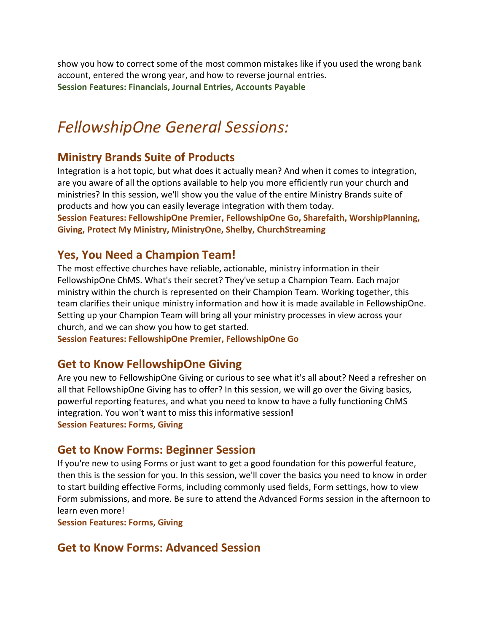show you how to correct some of the most common mistakes like if you used the wrong bank account, entered the wrong year, and how to reverse journal entries. **Session Features: Financials, Journal Entries, Accounts Payable**

## *FellowshipOne General Sessions:*

#### **Ministry Brands Suite of Products**

Integration is a hot topic, but what does it actually mean? And when it comes to integration, are you aware of all the options available to help you more efficiently run your church and ministries? In this session, we'll show you the value of the entire Ministry Brands suite of products and how you can easily leverage integration with them today.

**Session Features: FellowshipOne Premier, FellowshipOne Go, Sharefaith, WorshipPlanning, Giving, Protect My Ministry, MinistryOne, Shelby, ChurchStreaming**

#### **Yes, You Need a Champion Team!**

The most effective churches have reliable, actionable, ministry information in their FellowshipOne ChMS. What's their secret? They've setup a Champion Team. Each major ministry within the church is represented on their Champion Team. Working together, this team clarifies their unique ministry information and how it is made available in FellowshipOne. Setting up your Champion Team will bring all your ministry processes in view across your church, and we can show you how to get started.

**Session Features: FellowshipOne Premier, FellowshipOne Go**

#### **Get to Know FellowshipOne Giving**

Are you new to FellowshipOne Giving or curious to see what it's all about? Need a refresher on all that FellowshipOne Giving has to offer? In this session, we will go over the Giving basics, powerful reporting features, and what you need to know to have a fully functioning ChMS integration. You won't want to miss this informative session**! Session Features: Forms, Giving**

#### **Get to Know Forms: Beginner Session**

If you're new to using Forms or just want to get a good foundation for this powerful feature, then this is the session for you. In this session, we'll cover the basics you need to know in order to start building effective Forms, including commonly used fields, Form settings, how to view Form submissions, and more. Be sure to attend the Advanced Forms session in the afternoon to learn even more!

**Session Features: Forms, Giving**

#### **Get to Know Forms: Advanced Session**